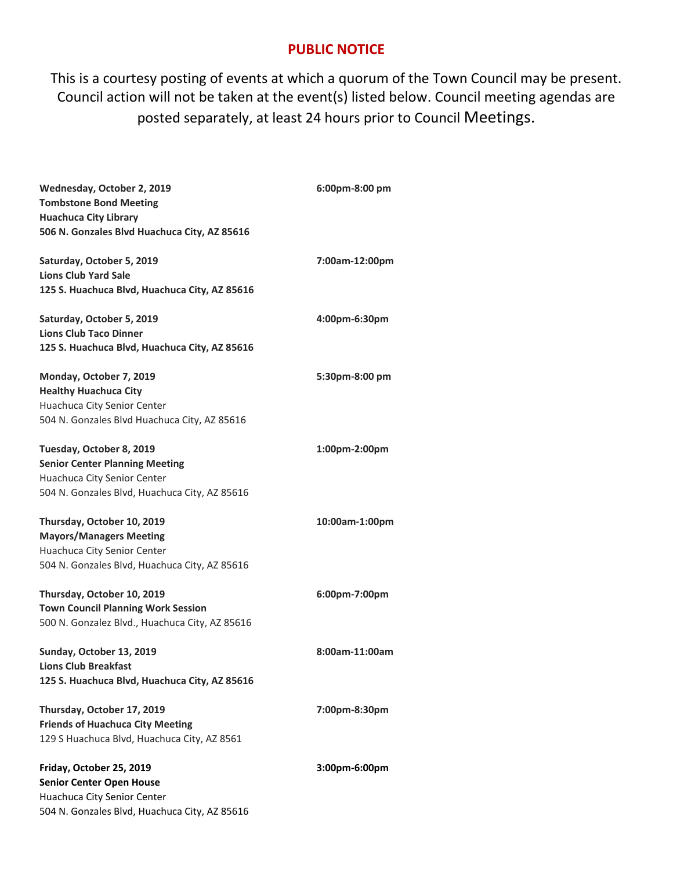## **PUBLIC NOTICE**

This is a courtesy posting of events at which a quorum of the Town Council may be present. Council action will not be taken at the event(s) listed below. Council meeting agendas are posted separately, at least 24 hours prior to Council Meetings.

| Wednesday, October 2, 2019<br><b>Tombstone Bond Meeting</b><br><b>Huachuca City Library</b><br>506 N. Gonzales Blvd Huachuca City, AZ 85616       | 6:00pm-8:00 pm |
|---------------------------------------------------------------------------------------------------------------------------------------------------|----------------|
| Saturday, October 5, 2019<br><b>Lions Club Yard Sale</b><br>125 S. Huachuca Blvd, Huachuca City, AZ 85616                                         | 7:00am-12:00pm |
| Saturday, October 5, 2019<br><b>Lions Club Taco Dinner</b><br>125 S. Huachuca Blvd, Huachuca City, AZ 85616                                       | 4:00pm-6:30pm  |
| Monday, October 7, 2019<br><b>Healthy Huachuca City</b><br>Huachuca City Senior Center<br>504 N. Gonzales Blvd Huachuca City, AZ 85616            | 5:30pm-8:00 pm |
| Tuesday, October 8, 2019<br><b>Senior Center Planning Meeting</b><br>Huachuca City Senior Center<br>504 N. Gonzales Blvd, Huachuca City, AZ 85616 | 1:00pm-2:00pm  |
| Thursday, October 10, 2019<br><b>Mayors/Managers Meeting</b><br>Huachuca City Senior Center<br>504 N. Gonzales Blvd, Huachuca City, AZ 85616      | 10:00am-1:00pm |
| Thursday, October 10, 2019<br><b>Town Council Planning Work Session</b><br>500 N. Gonzalez Blvd., Huachuca City, AZ 85616                         | 6:00pm-7:00pm  |
| Sunday, October 13, 2019<br>Lions Club Breakfast<br>125 S. Huachuca Blvd, Huachuca City, AZ 85616                                                 | 8:00am-11:00am |
| Thursday, October 17, 2019<br><b>Friends of Huachuca City Meeting</b><br>129 S Huachuca Blvd, Huachuca City, AZ 8561                              | 7:00pm-8:30pm  |
| Friday, October 25, 2019<br><b>Senior Center Open House</b><br>Huachuca City Senior Center<br>504 N. Gonzales Blvd, Huachuca City, AZ 85616       | 3:00pm-6:00pm  |